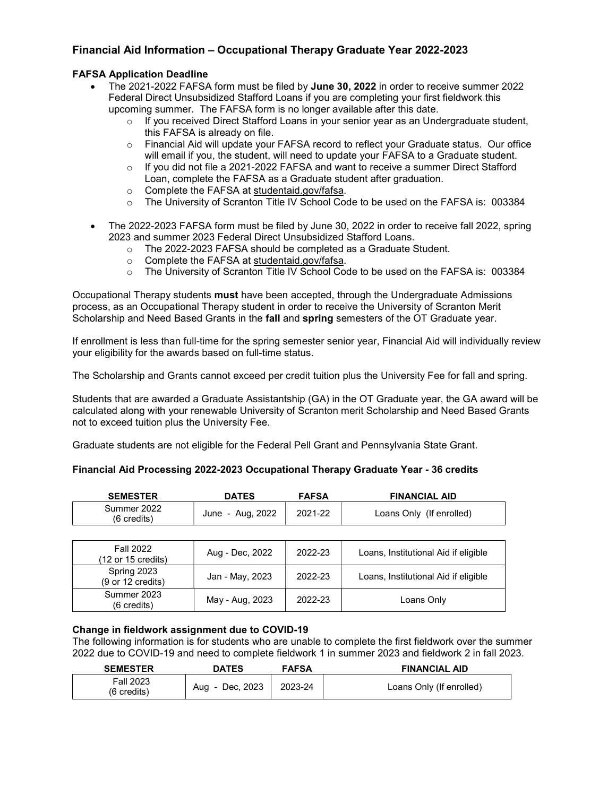# Financial Aid Information – Occupational Therapy Graduate Year 2022-2023

## FAFSA Application Deadline

- The 2021-2022 FAFSA form must be filed by June 30, 2022 in order to receive summer 2022 Federal Direct Unsubsidized Stafford Loans if you are completing your first fieldwork this upcoming summer. The FAFSA form is no longer available after this date.
	- $\circ$  If you received Direct Stafford Loans in your senior year as an Undergraduate student, this FAFSA is already on file.
	- o Financial Aid will update your FAFSA record to reflect your Graduate status. Our office will email if you, the student, will need to update your FAFSA to a Graduate student.
	- $\circ$  If you did not file a 2021-2022 FAFSA and want to receive a summer Direct Stafford Loan, complete the FAFSA as a Graduate student after graduation.
	- o Complete the FAFSA at studentaid.gov/fafsa.
	- o The University of Scranton Title IV School Code to be used on the FAFSA is: 003384
- The 2022-2023 FAFSA form must be filed by June 30, 2022 in order to receive fall 2022, spring 2023 and summer 2023 Federal Direct Unsubsidized Stafford Loans.
	- o The 2022-2023 FAFSA should be completed as a Graduate Student.
	- o Complete the FAFSA at studentaid.gov/fafsa.
	- o The University of Scranton Title IV School Code to be used on the FAFSA is: 003384

Occupational Therapy students must have been accepted, through the Undergraduate Admissions process, as an Occupational Therapy student in order to receive the University of Scranton Merit Scholarship and Need Based Grants in the fall and spring semesters of the OT Graduate year.

If enrollment is less than full-time for the spring semester senior year, Financial Aid will individually review your eligibility for the awards based on full-time status.

The Scholarship and Grants cannot exceed per credit tuition plus the University Fee for fall and spring.

Students that are awarded a Graduate Assistantship (GA) in the OT Graduate year, the GA award will be calculated along with your renewable University of Scranton merit Scholarship and Need Based Grants not to exceed tuition plus the University Fee.

Graduate students are not eligible for the Federal Pell Grant and Pennsylvania State Grant.

#### Financial Aid Processing 2022-2023 Occupational Therapy Graduate Year - 36 credits

| <b>SEMESTER</b>                      | <b>DATES</b>     | <b>FAFSA</b> | <b>FINANCIAL AID</b>     |
|--------------------------------------|------------------|--------------|--------------------------|
| Summer 2022<br>$(6 \text{ credits})$ | June - Aug, 2022 | 2021-22      | Loans Only (If enrolled) |

| <b>Fall 2022</b><br>$(12 \text{ or } 15 \text{ credits})$ | Aug - Dec, 2022 | 2022-23 | Loans, Institutional Aid if eligible |
|-----------------------------------------------------------|-----------------|---------|--------------------------------------|
| Spring 2023<br>(9 or 12 credits)                          | Jan - May, 2023 | 2022-23 | Loans, Institutional Aid if eligible |
| Summer 2023<br>$(6 \text{ credits})$                      | May - Aug, 2023 | 2022-23 | Loans Only                           |

#### Change in fieldwork assignment due to COVID-19

The following information is for students who are unable to complete the first fieldwork over the summer 2022 due to COVID-19 and need to complete fieldwork 1 in summer 2023 and fieldwork 2 in fall 2023.

| <b>SEMESTER</b>          | <b>DATES</b>    | <b>FAFSA</b> | <b>FINANCIAL AID</b>     |
|--------------------------|-----------------|--------------|--------------------------|
| Fall 2023<br>(6 credits) | Aug - Dec, 2023 | 2023-24      | Loans Only (If enrolled) |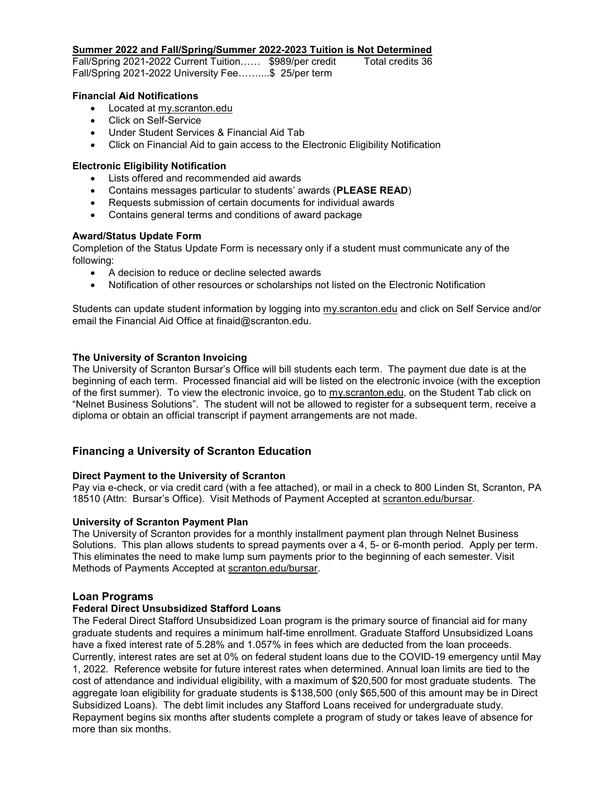#### Summer 2022 and Fall/Spring/Summer 2022-2023 Tuition is Not Determined

Fall/Spring 2021-2022 Current Tuition...... \$989/per credit Total credits 36 Fall/Spring 2021-2022 University Fee……....\$ 25/per term

#### Financial Aid Notifications

- Located at my.scranton.edu
- Click on Self-Service
- Under Student Services & Financial Aid Tab
- Click on Financial Aid to gain access to the Electronic Eligibility Notification

#### Electronic Eligibility Notification

- Lists offered and recommended aid awards
- Contains messages particular to students' awards (PLEASE READ)
- Requests submission of certain documents for individual awards
- Contains general terms and conditions of award package

### Award/Status Update Form

Completion of the Status Update Form is necessary only if a student must communicate any of the following:

- A decision to reduce or decline selected awards
- Notification of other resources or scholarships not listed on the Electronic Notification

Students can update student information by logging into my.scranton.edu and click on Self Service and/or email the Financial Aid Office at finaid@scranton.edu.

### The University of Scranton Invoicing

The University of Scranton Bursar's Office will bill students each term. The payment due date is at the beginning of each term. Processed financial aid will be listed on the electronic invoice (with the exception of the first summer). To view the electronic invoice, go to my.scranton.edu, on the Student Tab click on "Nelnet Business Solutions". The student will not be allowed to register for a subsequent term, receive a diploma or obtain an official transcript if payment arrangements are not made.

# Financing a University of Scranton Education

#### Direct Payment to the University of Scranton

Pay via e-check, or via credit card (with a fee attached), or mail in a check to 800 Linden St, Scranton, PA 18510 (Attn: Bursar's Office). Visit Methods of Payment Accepted at scranton.edu/bursar.

#### University of Scranton Payment Plan

The University of Scranton provides for a monthly installment payment plan through Nelnet Business Solutions. This plan allows students to spread payments over a 4, 5- or 6-month period. Apply per term. This eliminates the need to make lump sum payments prior to the beginning of each semester. Visit Methods of Payments Accepted at scranton.edu/bursar.

## Loan Programs

#### Federal Direct Unsubsidized Stafford Loans

The Federal Direct Stafford Unsubsidized Loan program is the primary source of financial aid for many graduate students and requires a minimum half-time enrollment. Graduate Stafford Unsubsidized Loans have a fixed interest rate of 5.28% and 1.057% in fees which are deducted from the loan proceeds. Currently, interest rates are set at 0% on federal student loans due to the COVID-19 emergency until May 1, 2022. Reference website for future interest rates when determined. Annual loan limits are tied to the cost of attendance and individual eligibility, with a maximum of \$20,500 for most graduate students. The aggregate loan eligibility for graduate students is \$138,500 (only \$65,500 of this amount may be in Direct Subsidized Loans). The debt limit includes any Stafford Loans received for undergraduate study. Repayment begins six months after students complete a program of study or takes leave of absence for more than six months.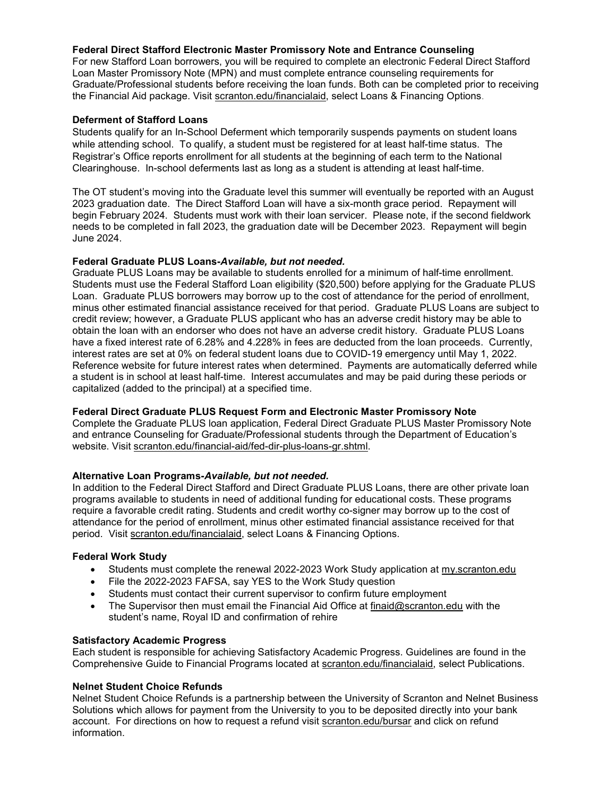#### Federal Direct Stafford Electronic Master Promissory Note and Entrance Counseling

For new Stafford Loan borrowers, you will be required to complete an electronic Federal Direct Stafford Loan Master Promissory Note (MPN) and must complete entrance counseling requirements for Graduate/Professional students before receiving the loan funds. Both can be completed prior to receiving the Financial Aid package. Visit scranton.edu/financialaid, select Loans & Financing Options.

## Deferment of Stafford Loans

Students qualify for an In-School Deferment which temporarily suspends payments on student loans while attending school. To qualify, a student must be registered for at least half-time status. The Registrar's Office reports enrollment for all students at the beginning of each term to the National Clearinghouse. In-school deferments last as long as a student is attending at least half-time.

The OT student's moving into the Graduate level this summer will eventually be reported with an August 2023 graduation date. The Direct Stafford Loan will have a six-month grace period. Repayment will begin February 2024. Students must work with their loan servicer. Please note, if the second fieldwork needs to be completed in fall 2023, the graduation date will be December 2023. Repayment will begin June 2024.

#### Federal Graduate PLUS Loans-Available, but not needed.

Graduate PLUS Loans may be available to students enrolled for a minimum of half-time enrollment. Students must use the Federal Stafford Loan eligibility (\$20,500) before applying for the Graduate PLUS Loan. Graduate PLUS borrowers may borrow up to the cost of attendance for the period of enrollment, minus other estimated financial assistance received for that period. Graduate PLUS Loans are subject to credit review; however, a Graduate PLUS applicant who has an adverse credit history may be able to obtain the loan with an endorser who does not have an adverse credit history. Graduate PLUS Loans have a fixed interest rate of 6.28% and 4.228% in fees are deducted from the loan proceeds. Currently, interest rates are set at 0% on federal student loans due to COVID-19 emergency until May 1, 2022. Reference website for future interest rates when determined. Payments are automatically deferred while a student is in school at least half-time. Interest accumulates and may be paid during these periods or capitalized (added to the principal) at a specified time.

## Federal Direct Graduate PLUS Request Form and Electronic Master Promissory Note

Complete the Graduate PLUS loan application, Federal Direct Graduate PLUS Master Promissory Note and entrance Counseling for Graduate/Professional students through the Department of Education's website. Visit scranton.edu/financial-aid/fed-dir-plus-loans-gr.shtml.

## Alternative Loan Programs-Available, but not needed.

In addition to the Federal Direct Stafford and Direct Graduate PLUS Loans, there are other private loan programs available to students in need of additional funding for educational costs. These programs require a favorable credit rating. Students and credit worthy co-signer may borrow up to the cost of attendance for the period of enrollment, minus other estimated financial assistance received for that period. Visit scranton.edu/financialaid, select Loans & Financing Options.

#### Federal Work Study

- Students must complete the renewal 2022-2023 Work Study application at my.scranton.edu
- File the 2022-2023 FAFSA, say YES to the Work Study question
- Students must contact their current supervisor to confirm future employment
- The Supervisor then must email the Financial Aid Office at finaid@scranton.edu with the student's name, Royal ID and confirmation of rehire

#### Satisfactory Academic Progress

Each student is responsible for achieving Satisfactory Academic Progress. Guidelines are found in the Comprehensive Guide to Financial Programs located at scranton.edu/financialaid, select Publications.

#### Nelnet Student Choice Refunds

Nelnet Student Choice Refunds is a partnership between the University of Scranton and Nelnet Business Solutions which allows for payment from the University to you to be deposited directly into your bank account. For directions on how to request a refund visit scranton.edu/bursar and click on refund information.